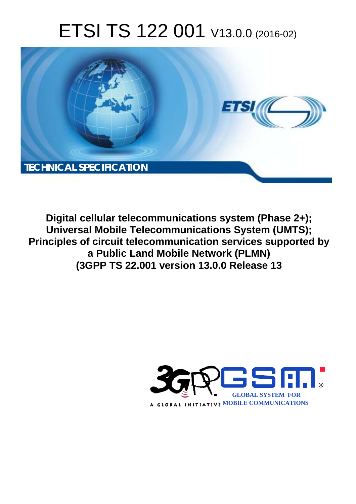# ETSI TS 122 001 V13.0.0 (2016-02)



**Digital cellular telecommunications system (Phase 2+); Universal Mobile Tel elecommunications System ( (UMTS); Principles of circuit telecommunication services supported by a Public Lan and Mobile Network (PLMN) (3GPP TS 22.0 2.001 version 13.0.0 Release 1 13**

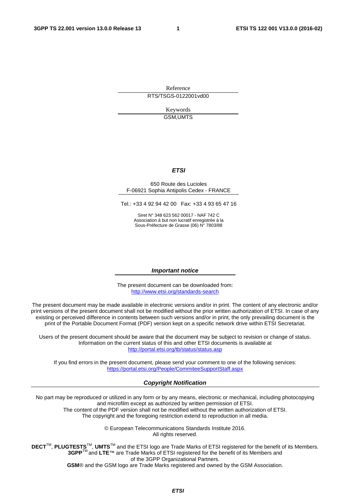Reference RTS/TSGS-0122001vd00

> Keywords GSM,UMTS

#### *ETSI*

#### 650 Route des Lucioles F-06921 Sophia Antipolis Cedex - FRANCE

Tel.: +33 4 92 94 42 00 Fax: +33 4 93 65 47 16

Siret N° 348 623 562 00017 - NAF 742 C Association à but non lucratif enregistrée à la Sous-Préfecture de Grasse (06) N° 7803/88

#### *Important notice*

The present document can be downloaded from: <http://www.etsi.org/standards-search>

The present document may be made available in electronic versions and/or in print. The content of any electronic and/or print versions of the present document shall not be modified without the prior written authorization of ETSI. In case of any existing or perceived difference in contents between such versions and/or in print, the only prevailing document is the print of the Portable Document Format (PDF) version kept on a specific network drive within ETSI Secretariat.

Users of the present document should be aware that the document may be subject to revision or change of status. Information on the current status of this and other ETSI documents is available at <http://portal.etsi.org/tb/status/status.asp>

If you find errors in the present document, please send your comment to one of the following services: <https://portal.etsi.org/People/CommiteeSupportStaff.aspx>

#### *Copyright Notification*

No part may be reproduced or utilized in any form or by any means, electronic or mechanical, including photocopying and microfilm except as authorized by written permission of ETSI.

The content of the PDF version shall not be modified without the written authorization of ETSI. The copyright and the foregoing restriction extend to reproduction in all media.

> © European Telecommunications Standards Institute 2016. All rights reserved.

**DECT**TM, **PLUGTESTS**TM, **UMTS**TM and the ETSI logo are Trade Marks of ETSI registered for the benefit of its Members. **3GPP**TM and **LTE**™ are Trade Marks of ETSI registered for the benefit of its Members and of the 3GPP Organizational Partners.

**GSM**® and the GSM logo are Trade Marks registered and owned by the GSM Association.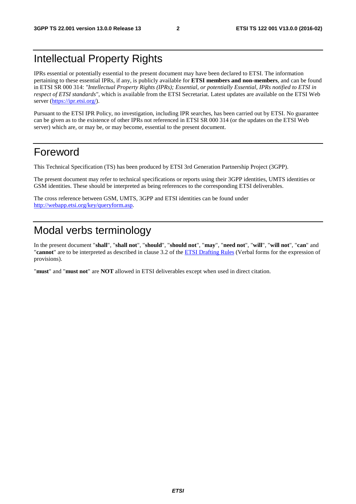### Intellectual Property Rights

IPRs essential or potentially essential to the present document may have been declared to ETSI. The information pertaining to these essential IPRs, if any, is publicly available for **ETSI members and non-members**, and can be found in ETSI SR 000 314: *"Intellectual Property Rights (IPRs); Essential, or potentially Essential, IPRs notified to ETSI in respect of ETSI standards"*, which is available from the ETSI Secretariat. Latest updates are available on the ETSI Web server [\(https://ipr.etsi.org/\)](https://ipr.etsi.org/).

Pursuant to the ETSI IPR Policy, no investigation, including IPR searches, has been carried out by ETSI. No guarantee can be given as to the existence of other IPRs not referenced in ETSI SR 000 314 (or the updates on the ETSI Web server) which are, or may be, or may become, essential to the present document.

### Foreword

This Technical Specification (TS) has been produced by ETSI 3rd Generation Partnership Project (3GPP).

The present document may refer to technical specifications or reports using their 3GPP identities, UMTS identities or GSM identities. These should be interpreted as being references to the corresponding ETSI deliverables.

The cross reference between GSM, UMTS, 3GPP and ETSI identities can be found under [http://webapp.etsi.org/key/queryform.asp.](http://webapp.etsi.org/key/queryform.asp)

### Modal verbs terminology

In the present document "**shall**", "**shall not**", "**should**", "**should not**", "**may**", "**need not**", "**will**", "**will not**", "**can**" and "**cannot**" are to be interpreted as described in clause 3.2 of the [ETSI Drafting Rules](http://portal.etsi.org/Help/editHelp!/Howtostart/ETSIDraftingRules.aspx) (Verbal forms for the expression of provisions).

"**must**" and "**must not**" are **NOT** allowed in ETSI deliverables except when used in direct citation.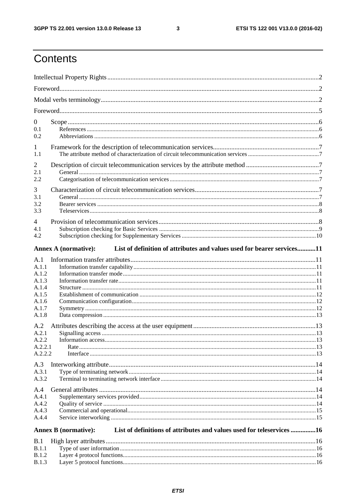$\mathbf{3}$ 

## Contents

| $\boldsymbol{0}$ |                                                                                                       |  |
|------------------|-------------------------------------------------------------------------------------------------------|--|
| 0.1<br>0.2       |                                                                                                       |  |
| 1                |                                                                                                       |  |
| 1.1              |                                                                                                       |  |
| $\overline{2}$   |                                                                                                       |  |
| 2.1<br>2.2       |                                                                                                       |  |
| 3                |                                                                                                       |  |
| 3.1              |                                                                                                       |  |
| 3.2              |                                                                                                       |  |
| 3.3              |                                                                                                       |  |
| 4                |                                                                                                       |  |
| 4.1              |                                                                                                       |  |
| 4.2              |                                                                                                       |  |
|                  | List of definition of attributes and values used for bearer services11<br><b>Annex A (normative):</b> |  |
| A.1              |                                                                                                       |  |
| A.1.1            |                                                                                                       |  |
| A.1.2            |                                                                                                       |  |
| A.1.3            |                                                                                                       |  |
| A.1.4<br>A.1.5   |                                                                                                       |  |
| A.1.6            |                                                                                                       |  |
| A.1.7            |                                                                                                       |  |
| A.1.8            |                                                                                                       |  |
| A.2              |                                                                                                       |  |
| A.2.1            |                                                                                                       |  |
| A.2.2            |                                                                                                       |  |
| A.2.2.1          |                                                                                                       |  |
| A.2.2.2          |                                                                                                       |  |
| A.3              |                                                                                                       |  |
| A.3.1            |                                                                                                       |  |
| A.3.2            |                                                                                                       |  |
| A.4              |                                                                                                       |  |
| A.4.1            |                                                                                                       |  |
| A.4.2            |                                                                                                       |  |
| A.4.3            |                                                                                                       |  |
| A.4.4            |                                                                                                       |  |
|                  | List of definitions of attributes and values used for teleservices 16<br><b>Annex B</b> (normative):  |  |
| B.1              |                                                                                                       |  |
| B.1.1            |                                                                                                       |  |
| B.1.2            |                                                                                                       |  |
| <b>B.1.3</b>     |                                                                                                       |  |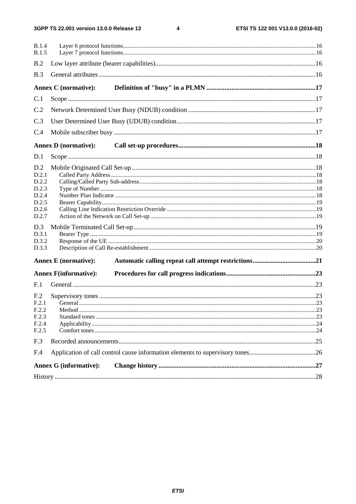$\overline{\mathbf{4}}$ 

| <b>B.1.4</b><br><b>B.1.5</b>                                                                         |                                                                               |  |
|------------------------------------------------------------------------------------------------------|-------------------------------------------------------------------------------|--|
| B.2                                                                                                  |                                                                               |  |
| B.3                                                                                                  |                                                                               |  |
|                                                                                                      | Annex C (normative):                                                          |  |
| C.1                                                                                                  |                                                                               |  |
| C.2                                                                                                  |                                                                               |  |
| C.3                                                                                                  |                                                                               |  |
| C.4                                                                                                  |                                                                               |  |
|                                                                                                      | <b>Annex D</b> (normative):                                                   |  |
| D.1                                                                                                  |                                                                               |  |
| D.2<br>D.2.1<br>D.2.2<br>D.2.3<br>D.2.4<br>D.2.5<br>D.2.6<br>D.2.7<br>D.3<br>D.3.1<br>D.3.2<br>D.3.3 | <b>Annex E</b> (normative):                                                   |  |
|                                                                                                      | <b>Annex F(informative):</b>                                                  |  |
| F.1                                                                                                  |                                                                               |  |
| F <sub>.2</sub>                                                                                      |                                                                               |  |
| F.2.1                                                                                                |                                                                               |  |
| F.2.2                                                                                                |                                                                               |  |
| F.2.3                                                                                                |                                                                               |  |
| F.2.4                                                                                                |                                                                               |  |
| F.2.5                                                                                                |                                                                               |  |
| F.3                                                                                                  |                                                                               |  |
| F.4                                                                                                  | Application of call control cause information elements to supervisory tones26 |  |
|                                                                                                      | <b>Annex G (informative):</b>                                                 |  |
|                                                                                                      |                                                                               |  |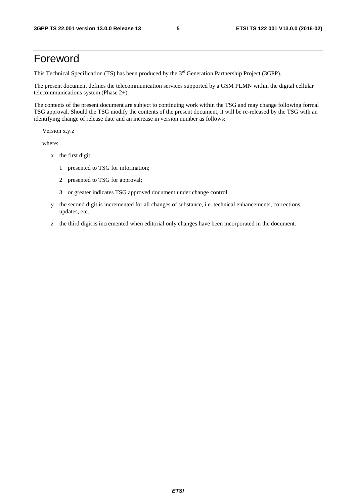### Foreword

This Technical Specification (TS) has been produced by the 3<sup>rd</sup> Generation Partnership Project (3GPP).

The present document defines the telecommunication services supported by a GSM PLMN within the digital cellular telecommunications system (Phase 2+).

The contents of the present document are subject to continuing work within the TSG and may change following formal TSG approval. Should the TSG modify the contents of the present document, it will be re-released by the TSG with an identifying change of release date and an increase in version number as follows:

Version x.y.z

where:

- x the first digit:
	- 1 presented to TSG for information;
	- 2 presented to TSG for approval;
	- 3 or greater indicates TSG approved document under change control.
- y the second digit is incremented for all changes of substance, i.e. technical enhancements, corrections, updates, etc.
- z the third digit is incremented when editorial only changes have been incorporated in the document.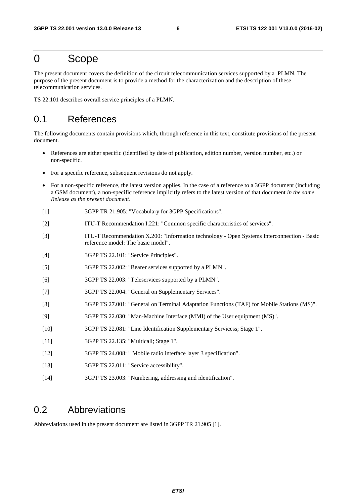### 0 Scope

The present document covers the definition of the circuit telecommunication services supported by a PLMN. The purpose of the present document is to provide a method for the characterization and the description of these telecommunication services.

TS 22.101 describes overall service principles of a PLMN.

#### 0.1 References

The following documents contain provisions which, through reference in this text, constitute provisions of the present document.

- References are either specific (identified by date of publication, edition number, version number, etc.) or non-specific.
- For a specific reference, subsequent revisions do not apply.
- For a non-specific reference, the latest version applies. In the case of a reference to a 3GPP document (including a GSM document), a non-specific reference implicitly refers to the latest version of that document *in the same Release as the present document*.
- [1] 3GPP TR 21.905: "Vocabulary for 3GPP Specifications".
- [2] ITU-T Recommendation I.221: "Common specific characteristics of services".
- [3] ITU-T Recommendation X.200: "Information technology Open Systems Interconnection Basic reference model: The basic model".
- [4] 3GPP TS 22.101: "Service Principles".
- [5] 3GPP TS 22.002: "Bearer services supported by a PLMN".
- [6] 3GPP TS 22.003: "Teleservices supported by a PLMN".
- [7] 3GPP TS 22.004: "General on Supplementary Services".
- [8] 3GPP TS 27.001: "General on Terminal Adaptation Functions (TAF) for Mobile Stations (MS)".
- [9] 3GPP TS 22.030: "Man-Machine Interface (MMI) of the User equipment (MS)".
- [10] 3GPP TS 22.081: "Line Identification Supplementary Servicess; Stage 1".
- [11] 3GPP TS 22.135: "Multicall; Stage 1".
- [12] 3GPP TS 24.008: " Mobile radio interface layer 3 specification".
- [13] 3GPP TS 22.011: "Service accessibility".
- [14] 3GPP TS 23.003: "Numbering, addressing and identification".

#### 0.2 Abbreviations

Abbreviations used in the present document are listed in 3GPP TR 21.905 [1].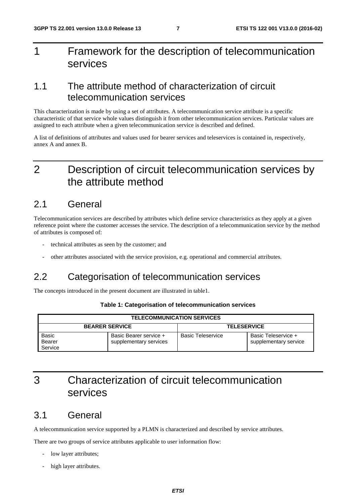## 1 Framework for the description of telecommunication services

#### 1.1 The attribute method of characterization of circuit telecommunication services

This characterization is made by using a set of attributes. A telecommunication service attribute is a specific characteristic of that service whole values distinguish it from other telecommunication services. Particular values are assigned to each attribute when a given telecommunication service is described and defined.

A list of definitions of attributes and values used for bearer services and teleservices is contained in, respectively, annex A and annex B.

### 2 Description of circuit telecommunication services by the attribute method

#### 2.1 General

Telecommunication services are described by attributes which define service characteristics as they apply at a given reference point where the customer accesses the service. The description of a telecommunication service by the method of attributes is composed of:

- technical attributes as seen by the customer; and
- other attributes associated with the service provision, e.g. operational and commercial attributes.

#### 2.2 Categorisation of telecommunication services

The concepts introduced in the present document are illustrated in table1.

|  |  | Table 1: Categorisation of telecommunication services |  |  |  |
|--|--|-------------------------------------------------------|--|--|--|
|--|--|-------------------------------------------------------|--|--|--|

| <b>TELECOMMUNICATION SERVICES</b> |                                                  |                          |                       |  |  |  |  |  |
|-----------------------------------|--------------------------------------------------|--------------------------|-----------------------|--|--|--|--|--|
|                                   | <b>BEARER SERVICE</b>                            | <b>TELESERVICE</b>       |                       |  |  |  |  |  |
| Basic<br><b>Bearer</b>            | Basic Bearer service +<br>supplementary services | <b>Basic Teleservice</b> | Basic Teleservice +   |  |  |  |  |  |
| Service                           |                                                  |                          | supplementary service |  |  |  |  |  |

### 3 Characterization of circuit telecommunication services

#### 3.1 General

A telecommunication service supported by a PLMN is characterized and described by service attributes.

There are two groups of service attributes applicable to user information flow:

- low layer attributes;
- high layer attributes.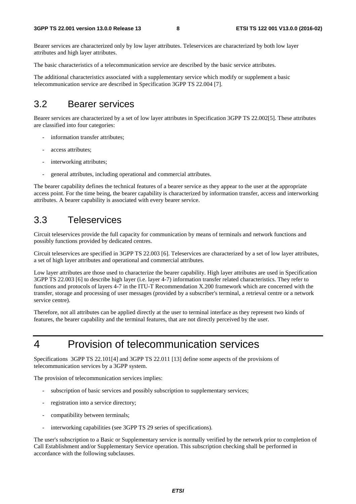Bearer services are characterized only by low layer attributes. Teleservices are characterized by both low layer attributes and high layer attributes.

The basic characteristics of a telecommunication service are described by the basic service attributes.

The additional characteristics associated with a supplementary service which modify or supplement a basic telecommunication service are described in Specification 3GPP TS 22.004 [7].

#### 3.2 Bearer services

Bearer services are characterized by a set of low layer attributes in Specification 3GPP TS 22.002[5]. These attributes are classified into four categories:

- information transfer attributes;
- access attributes:
- interworking attributes;
- general attributes, including operational and commercial attributes.

The bearer capability defines the technical features of a bearer service as they appear to the user at the appropriate access point. For the time being, the bearer capability is characterized by information transfer, access and interworking attributes. A bearer capability is associated with every bearer service.

#### 3.3 Teleservices

Circuit teleservices provide the full capacity for communication by means of terminals and network functions and possibly functions provided by dedicated centres.

Circuit teleservices are specified in 3GPP TS 22.003 [6]. Teleservices are characterized by a set of low layer attributes, a set of high layer attributes and operational and commercial attributes.

Low layer attributes are those used to characterize the bearer capability. High layer attributes are used in Specification 3GPP TS 22.003 [6] to describe high layer (i.e. layer 4-7) information transfer related characteristics. They refer to functions and protocols of layers 4-7 in the ITU-T Recommendation X.200 framework which are concerned with the transfer, storage and processing of user messages (provided by a subscriber's terminal, a retrieval centre or a network service centre).

Therefore, not all attributes can be applied directly at the user to terminal interface as they represent two kinds of features, the bearer capability and the terminal features, that are not directly perceived by the user.

## 4 Provision of telecommunication services

Specifications 3GPP TS 22.101[4] and 3GPP TS 22.011 [13] define some aspects of the provisions of telecommunication services by a 3GPP system.

The provision of telecommunication services implies:

- subscription of basic services and possibly subscription to supplementary services;
- registration into a service directory;
- compatibility between terminals;
- interworking capabilities (see 3GPP TS 29 series of specifications).

The user's subscription to a Basic or Supplementary service is normally verified by the network prior to completion of Call Establishment and/or Supplementary Service operation. This subscription checking shall be performed in accordance with the following subclauses.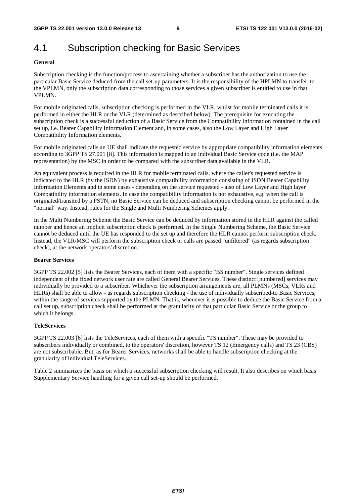### 4.1 Subscription checking for Basic Services

#### **General**

Subscription checking is the function/process to ascertaining whether a subscriber has the authorization to use the particular Basic Service deduced from the call set-up parameters. It is the responsibility of the HPLMN to transfer, to the VPLMN, only the subscription data corresponding to those services a given subscriber is entitled to use in that VPLMN.

For mobile originated calls, subscription checking is performed in the VLR, whilst for mobile terminated calls it is performed in either the HLR or the VLR (determined as described below). The prerequisite for executing the subscription check is a successful deduction of a Basic Service from the Compatibility Information contained in the call set up, i.e. Bearer Capability Information Element and, in some cases, also the Low Layer and High Layer Compatibility Information elements.

For mobile originated calls an UE shall indicate the requested service by appropriate compatibility information elements according to 3GPP TS 27.001 [8]. This information is mapped to an individual Basic Service code (i.e. the MAP representation) by the MSC in order to be compared with the subscriber data available in the VLR.

An equivalent process is required in the HLR for mobile terminated calls, where the caller's requested service is indicated to the HLR (by the ISDN) by exhaustive compatibility information consisting of ISDN Bearer Capability Information Elements and in some cases - depending on the service requested - also of Low Layer and High layer Compatibility information elements. In case the compatibility information is not exhaustive, e.g. when the call is originated/transited by a PSTN, no Basic Service can be deduced and subscription checking cannot be performed in the "normal" way. Instead, rules for the Single and Multi Numbering Schemes apply.

In the Multi Numbering Scheme the Basic Service can be deduced by information stored in the HLR against the called number and hence an implicit subscription check is performed. In the Single Numbering Scheme, the Basic Service cannot be deduced until the UE has responded to the set up and therefore the HLR cannot perform subscription check. Instead, the VLR/MSC will perform the subscription check or calls are passed "unfiltered" (as regards subscription check), at the network operators' discretion.

#### **Bearer Services**

3GPP TS 22.002 [5] lists the Bearer Services, each of them with a specific "BS number". Single services defined independent of the fixed network user rate are called General Bearer Services. These distinct [numbered] services may individually be provided to a subscriber. Whichever the subscription arrangements are, all PLMNs (MSCs, VLRs and HLRs) shall be able to allow - as regards subscription checking - the use of individually subscribed-to Basic Services, within the range of services supported by the PLMN. That is, whenever it is possible to deduce the Basic Service from a call set up, subscription check shall be performed at the granularity of that particular Basic Service or the group to which it belongs.

#### **TeleServices**

3GPP TS 22.003 [6] lists the TeleServices, each of them with a specific "TS number". These may be provided to subscribers individually or combined, to the operators' discretion, however TS 12 (Emergency calls) and TS 23 (CBS) are not subscribable. But, as for Bearer Services, networks shall be able to handle subscription checking at the granularity of individual TeleServices.

Table 2 summarizes the basis on which a successful subscription checking will result. It also describes on which basis Supplementary Service handling for a given call set-up should be performed.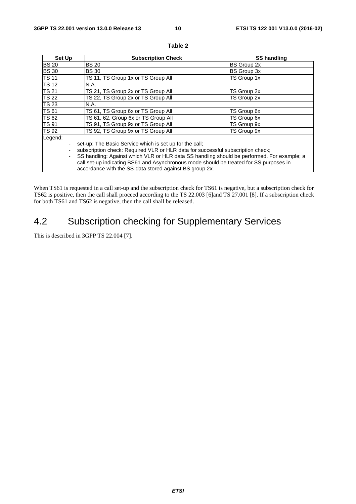| Set Up       | <b>Subscription Check</b>                                                                  | <b>SS handling</b> |  |  |  |  |  |
|--------------|--------------------------------------------------------------------------------------------|--------------------|--|--|--|--|--|
| <b>BS 20</b> | <b>BS 20</b>                                                                               | <b>BS Group 2x</b> |  |  |  |  |  |
| <b>BS 30</b> | <b>BS30</b>                                                                                | BS Group 3x        |  |  |  |  |  |
| <b>TS 11</b> | TS 11, TS Group 1x or TS Group All                                                         | TS Group 1x        |  |  |  |  |  |
| <b>TS 12</b> | N.A.                                                                                       |                    |  |  |  |  |  |
| <b>TS 21</b> | TS 21, TS Group 2x or TS Group All                                                         | TS Group 2x        |  |  |  |  |  |
| <b>TS 22</b> | TS 22, TS Group 2x or TS Group All                                                         | TS Group 2x        |  |  |  |  |  |
| <b>TS 23</b> | N.A.                                                                                       |                    |  |  |  |  |  |
| <b>TS 61</b> | TS 61, TS Group 6x or TS Group All                                                         | TS Group 6x        |  |  |  |  |  |
| <b>TS 62</b> | TS 61, 62, Group 6x or TS Group All                                                        | TS Group 6x        |  |  |  |  |  |
| <b>TS 91</b> | TS 91, TS Group 9x or TS Group All                                                         | TS Group 9x        |  |  |  |  |  |
| <b>TS 92</b> | TS 92, TS Group 9x or TS Group All                                                         | TS Group 9x        |  |  |  |  |  |
| Legend:      |                                                                                            |                    |  |  |  |  |  |
|              | set-up: The Basic Service which is set up for the call;                                    |                    |  |  |  |  |  |
|              | subscription check: Required VLR or HLR data for successful subscription check;            |                    |  |  |  |  |  |
|              | SS handling: Against which VLR or HLR data SS handling should be performed. For example; a |                    |  |  |  |  |  |
|              | call set-up indicating BS61 and Asynchronous mode should be treated for SS purposes in     |                    |  |  |  |  |  |
|              | accordance with the SS-data stored against BS group 2x.                                    |                    |  |  |  |  |  |

#### **Table 2**

When TS61 is requested in a call set-up and the subscription check for TS61 is negative, but a subscription check for TS62 is positive, then the call shall proceed according to the TS 22.003 [6]and TS 27.001 [8]. If a subscription check for both TS61 and TS62 is negative, then the call shall be released.

### 4.2 Subscription checking for Supplementary Services

This is described in 3GPP TS 22.004 [7].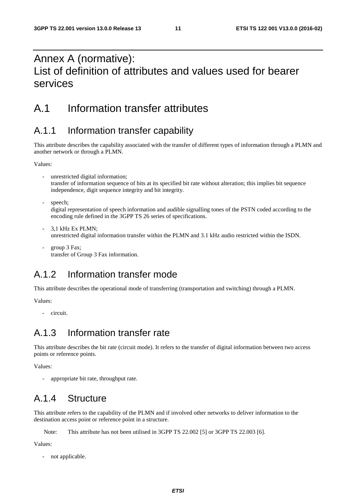### Annex A (normative): List of definition of attributes and values used for bearer services

#### A.1 Information transfer attributes

#### A.1.1 Information transfer capability

This attribute describes the capability associated with the transfer of different types of information through a PLMN and another network or through a PLMN.

Values:

- unrestricted digital information; transfer of information sequence of bits at its specified bit rate without alteration; this implies bit sequence independence, digit sequence integrity and bit integrity.
- speech;

digital representation of speech information and audible signalling tones of the PSTN coded according to the encoding rule defined in the 3GPP TS 26 series of specifications.

- 3,1 kHz Ex PLMN; unrestricted digital information transfer within the PLMN and 3.1 kHz audio restricted within the ISDN.
- group 3 Fax; transfer of Group 3 Fax information.

### A.1.2 Information transfer mode

This attribute describes the operational mode of transferring (transportation and switching) through a PLMN.

Values:

- circuit.

#### A.1.3 Information transfer rate

This attribute describes the bit rate (circuit mode). It refers to the transfer of digital information between two access points or reference points.

Values:

appropriate bit rate, throughput rate.

### A.1.4 Structure

This attribute refers to the capability of the PLMN and if involved other networks to deliver information to the destination access point or reference point in a structure.

Note: This attribute has not been utilised in 3GPP TS 22.002 [5] or 3GPP TS 22.003 [6].

Values:

not applicable.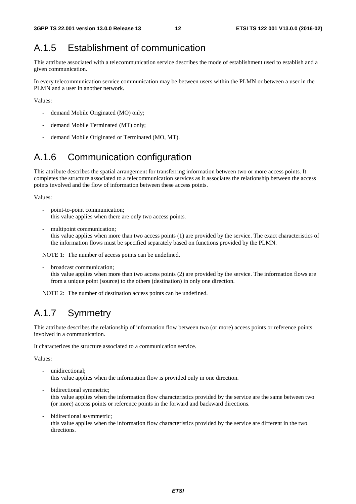### A.1.5 Establishment of communication

This attribute associated with a telecommunication service describes the mode of establishment used to establish and a given communication.

In every telecommunication service communication may be between users within the PLMN or between a user in the PLMN and a user in another network.

Values:

- demand Mobile Originated (MO) only;
- demand Mobile Terminated (MT) only;
- demand Mobile Originated or Terminated (MO, MT).

### A.1.6 Communication configuration

This attribute describes the spatial arrangement for transferring information between two or more access points. It completes the structure associated to a telecommunication services as it associates the relationship between the access points involved and the flow of information between these access points.

Values:

- point-to-point communication; this value applies when there are only two access points.
- multipoint communication: this value applies when more than two access points (1) are provided by the service. The exact characteristics of the information flows must be specified separately based on functions provided by the PLMN.

NOTE 1: The number of access points can be undefined.

- broadcast communication; this value applies when more than two access points (2) are provided by the service. The information flows are from a unique point (source) to the others (destination) in only one direction.

NOTE 2: The number of destination access points can be undefined.

### A.1.7 Symmetry

This attribute describes the relationship of information flow between two (or more) access points or reference points involved in a communication.

It characterizes the structure associated to a communication service.

Values:

- unidirectional: this value applies when the information flow is provided only in one direction.
- bidirectional symmetric;

this value applies when the information flow characteristics provided by the service are the same between two (or more) access points or reference points in the forward and backward directions.

bidirectional asymmetric;

this value applies when the information flow characteristics provided by the service are different in the two directions.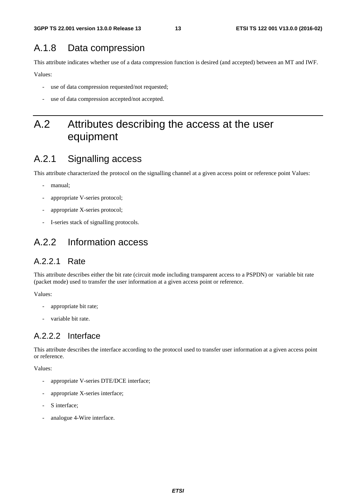#### A.1.8 Data compression

This attribute indicates whether use of a data compression function is desired (and accepted) between an MT and IWF.

Values:

- use of data compression requested/not requested;
- use of data compression accepted/not accepted.

### A.2 Attributes describing the access at the user equipment

#### A.2.1 Signalling access

This attribute characterized the protocol on the signalling channel at a given access point or reference point Values:

- manual;
- appropriate V-series protocol;
- appropriate X-series protocol;
- I-series stack of signalling protocols.

#### A.2.2 Information access

#### A.2.2.1 Rate

This attribute describes either the bit rate (circuit mode including transparent access to a PSPDN) or variable bit rate (packet mode) used to transfer the user information at a given access point or reference.

Values:

- appropriate bit rate;
- variable bit rate.

#### A.2.2.2 Interface

This attribute describes the interface according to the protocol used to transfer user information at a given access point or reference.

Values:

- appropriate V-series DTE/DCE interface;
- appropriate X-series interface;
- S interface:
- analogue 4-Wire interface.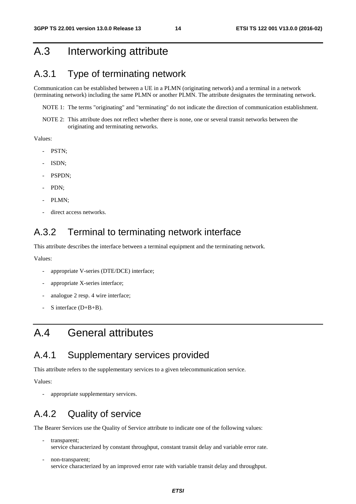### A.3 Interworking attribute

#### A.3.1 Type of terminating network

Communication can be established between a UE in a PLMN (originating network) and a terminal in a network (terminating network) including the same PLMN or another PLMN. The attribute designates the terminating network.

NOTE 1: The terms "originating" and "terminating" do not indicate the direction of communication establishment.

NOTE 2: This attribute does not reflect whether there is none, one or several transit networks between the originating and terminating networks.

Values:

- PSTN;
- ISDN;
- PSPDN;
- PDN;
- PLMN;
- direct access networks.

#### A.3.2 Terminal to terminating network interface

This attribute describes the interface between a terminal equipment and the terminating network.

Values:

- appropriate V-series (DTE/DCE) interface;
- appropriate X-series interface;
- analogue 2 resp. 4 wire interface;
- S interface  $(D+B+B)$ .

### A.4 General attributes

#### A.4.1 Supplementary services provided

This attribute refers to the supplementary services to a given telecommunication service.

Values:

appropriate supplementary services.

#### A.4.2 Quality of service

The Bearer Services use the Quality of Service attribute to indicate one of the following values:

- transparent; service characterized by constant throughput, constant transit delay and variable error rate.
- non-transparent; service characterized by an improved error rate with variable transit delay and throughput.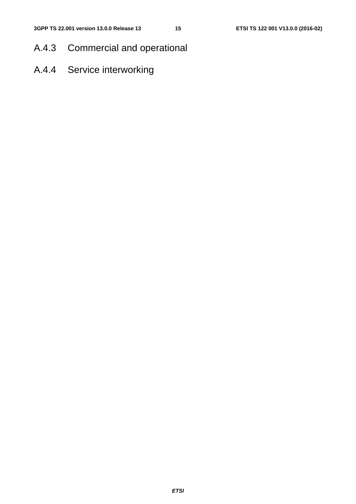- A.4.3 Commercial and operational
- A.4.4 Service interworking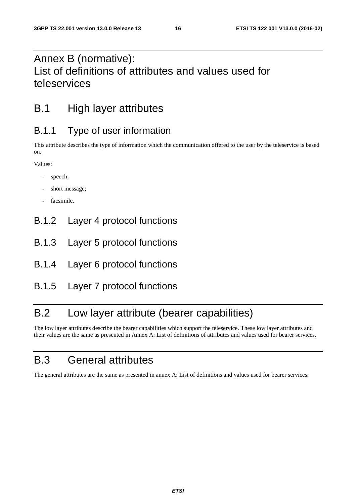## Annex B (normative): List of definitions of attributes and values used for teleservices

## B.1 High layer attributes

### B.1.1 Type of user information

This attribute describes the type of information which the communication offered to the user by the teleservice is based on.

Values:

- speech;
- short message;
- facsimile.
- B.1.2 Layer 4 protocol functions
- B.1.3 Layer 5 protocol functions
- B.1.4 Layer 6 protocol functions
- B.1.5 Layer 7 protocol functions

### B.2 Low layer attribute (bearer capabilities)

The low layer attributes describe the bearer capabilities which support the teleservice. These low layer attributes and their values are the same as presented in Annex A: List of definitions of attributes and values used for bearer services.

## B.3 General attributes

The general attributes are the same as presented in annex A: List of definitions and values used for bearer services.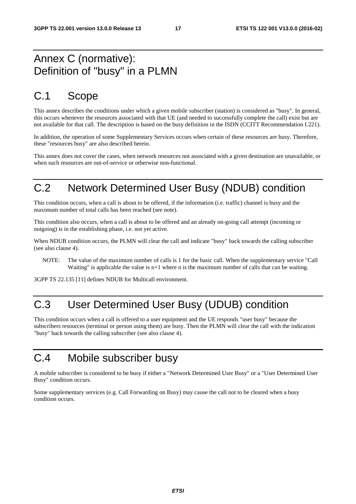### Annex C (normative): Definition of "busy" in a PLMN

### C.1 Scope

This annex describes the conditions under which a given mobile subscriber (station) is considered as "busy". In general, this occurs whenever the resources associated with that UE (and needed to successfully complete the call) exist but are not available for that call. The description is based on the busy definition in the ISDN (CCITT Recommendation I.221).

In addition, the operation of some Supplementary Services occurs when certain of these resources are busy. Therefore, these "resources busy" are also described herein.

This annex does not cover the cases, when network resources not associated with a given destination are unavailable, or when such resources are out-of-service or otherwise non-functional.

## C.2 Network Determined User Busy (NDUB) condition

This condition occurs, when a call is about to be offered, if the information (i.e. traffic) channel is busy and the maximum number of total calls has been reached (see note).

This condition also occurs, when a call is about to be offered and an already on-going call attempt (incoming or outgoing) is in the establishing phase, i.e. not yet active.

When NDUB condition occurs, the PLMN will clear the call and indicate "busy" back towards the calling subscriber (see also clause 4).

NOTE: The value of the maximum number of calls is 1 for the basic call. When the supplementary service "Call Waiting" is applicable the value is  $n+1$  where n is the maximum number of calls that can be waiting.

3GPP TS 22.135 [11] defines NDUB for Multicall environment.

### C.3 User Determined User Busy (UDUB) condition

This condition occurs when a call is offered to a user equipment and the UE responds "user busy" because the subscribers resources (terminal or person using them) are busy. Then the PLMN will clear the call with the indication "busy" back towards the calling subscriber (see also clause 4).

### C.4 Mobile subscriber busy

A mobile subscriber is considered to be busy if either a "Network Determined User Busy" or a "User Determined User Busy" condition occurs.

Some supplementary services (e.g. Call Forwarding on Busy) may cause the call not to be cleared when a busy condition occurs.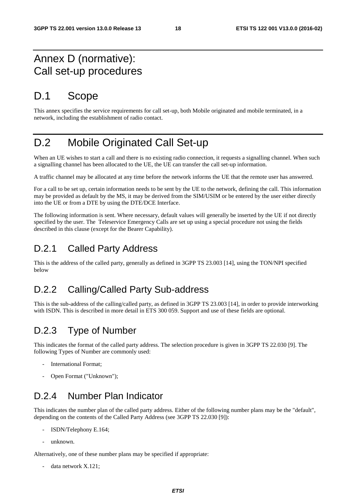### Annex D (normative): Call set-up procedures

### D.1 Scope

This annex specifies the service requirements for call set-up, both Mobile originated and mobile terminated, in a network, including the establishment of radio contact.

## D.2 Mobile Originated Call Set-up

When an UE wishes to start a call and there is no existing radio connection, it requests a signalling channel. When such a signalling channel has been allocated to the UE, the UE can transfer the call set-up information.

A traffic channel may be allocated at any time before the network informs the UE that the remote user has answered.

For a call to be set up, certain information needs to be sent by the UE to the network, defining the call. This information may be provided as default by the MS, it may be derived from the SIM/USIM or be entered by the user either directly into the UE or from a DTE by using the DTE/DCE Interface.

The following information is sent. Where necessary, default values will generally be inserted by the UE if not directly specified by the user. The Teleservice Emergency Calls are set up using a special procedure not using the fields described in this clause (except for the Bearer Capability).

#### D.2.1 Called Party Address

This is the address of the called party, generally as defined in 3GPP TS 23.003 [14], using the TON/NPI specified below

### D.2.2 Calling/Called Party Sub-address

This is the sub-address of the calling/called party, as defined in 3GPP TS 23.003 [14], in order to provide interworking with ISDN. This is described in more detail in ETS 300 059. Support and use of these fields are optional.

### D.2.3 Type of Number

This indicates the format of the called party address. The selection procedure is given in 3GPP TS 22.030 [9]. The following Types of Number are commonly used:

- International Format;
- Open Format ("Unknown");

### D.2.4 Number Plan Indicator

This indicates the number plan of the called party address. Either of the following number plans may be the "default", depending on the contents of the Called Party Address (see 3GPP TS 22.030 [9]):

- ISDN/Telephony E.164;
- unknown.

Alternatively, one of these number plans may be specified if appropriate:

data network X.121;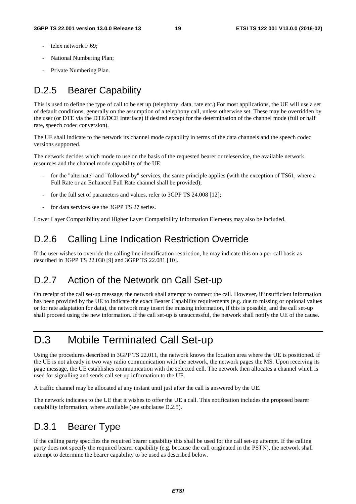- telex network F.69:
- National Numbering Plan;
- Private Numbering Plan.

### D.2.5 Bearer Capability

This is used to define the type of call to be set up (telephony, data, rate etc.) For most applications, the UE will use a set of default conditions, generally on the assumption of a telephony call, unless otherwise set. These may be overridden by the user (or DTE via the DTE/DCE Interface) if desired except for the determination of the channel mode (full or half rate, speech codec conversion).

The UE shall indicate to the network its channel mode capability in terms of the data channels and the speech codec versions supported.

The network decides which mode to use on the basis of the requested bearer or teleservice, the available network resources and the channel mode capability of the UE:

- for the "alternate" and "followed-by" services, the same principle applies (with the exception of TS61, where a Full Rate or an Enhanced Full Rate channel shall be provided);
- for the full set of parameters and values, refer to 3GPP TS 24.008 [12];
- for data services see the 3GPP TS 27 series.

Lower Layer Compatibility and Higher Layer Compatibility Information Elements may also be included.

#### D.2.6 Calling Line Indication Restriction Override

If the user wishes to override the calling line identification restriction, he may indicate this on a per-call basis as described in 3GPP TS 22.030 [9] and 3GPP TS 22.081 [10].

#### D.2.7 Action of the Network on Call Set-up

On receipt of the call set-up message, the network shall attempt to connect the call. However, if insufficient information has been provided by the UE to indicate the exact Bearer Capability requirements (e.g. due to missing or optional values or for rate adaptation for data), the network may insert the missing information, if this is possible, and the call set-up shall proceed using the new information. If the call set-up is unsuccessful, the network shall notify the UE of the cause.

### D.3 Mobile Terminated Call Set-up

Using the procedures described in 3GPP TS 22.011, the network knows the location area where the UE is positioned. If the UE is not already in two way radio communication with the network, the network pages the MS. Upon receiving its page message, the UE establishes communication with the selected cell. The network then allocates a channel which is used for signalling and sends call set-up information to the UE.

A traffic channel may be allocated at any instant until just after the call is answered by the UE.

The network indicates to the UE that it wishes to offer the UE a call. This notification includes the proposed bearer capability information, where available (see subclause D.2.5).

### D.3.1 Bearer Type

If the calling party specifies the required bearer capability this shall be used for the call set-up attempt. If the calling party does not specify the required bearer capability (e.g. because the call originated in the PSTN), the network shall attempt to determine the bearer capability to be used as described below.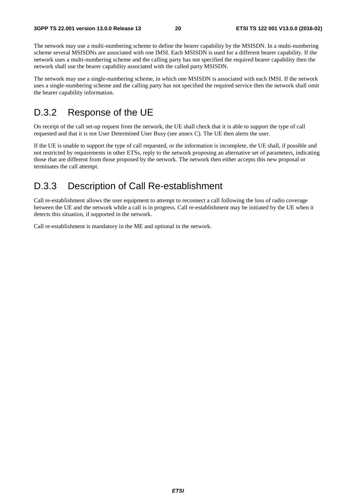The network may use a multi-numbering scheme to define the bearer capability by the MSISDN. In a multi-numbering scheme several MSISDNs are associated with one IMSI. Each MSISDN is used for a different bearer capability. If the network uses a multi-numbering scheme and the calling party has not specified the required bearer capability then the network shall use the bearer capability associated with the called party MSISDN.

The network may use a single-numbering scheme, in which one MSISDN is associated with each IMSI. If the network uses a single-numbering scheme and the calling party has not specified the required service then the network shall omit the bearer capability information.

#### D.3.2 Response of the UE

On receipt of the call set-up request from the network, the UE shall check that it is able to support the type of call requested and that it is not User Determined User Busy (see annex C). The UE then alerts the user.

If the UE is unable to support the type of call requested, or the information is incomplete, the UE shall, if possible and not restricted by requirements in other ETSs, reply to the network proposing an alternative set of parameters, indicating those that are different from those proposed by the network. The network then either accepts this new proposal or terminates the call attempt.

#### D.3.3 Description of Call Re-establishment

Call re-establishment allows the user equipment to attempt to reconnect a call following the loss of radio coverage between the UE and the network while a call is in progress. Call re-establishment may be initiated by the UE when it detects this situation, if supported in the network.

Call re-establishment is mandatory in the ME and optional in the network.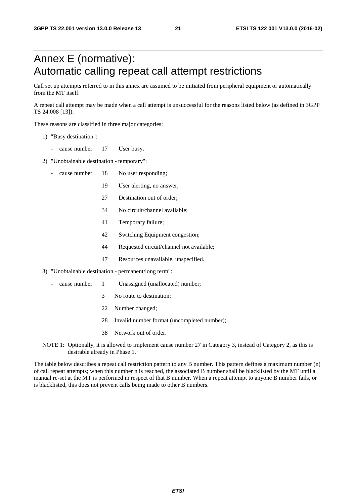## Annex E (normative): Automatic calling repeat call attempt restrictions

Call set up attempts referred to in this annex are assumed to be initiated from peripheral equipment or automatically from the MT itself.

A repeat call attempt may be made when a call attempt is unsuccessful for the reasons listed below (as defined in 3GPP TS 24.008 [13]).

These reasons are classified in three major categories:

- 1) "Busy destination":
	- cause number 17 User busy.
- 2) "Unobtainable destination temporary":
	- cause number 18 No user responding;
		- 19 User alerting, no answer;
		- 27 Destination out of order;
		- 34 No circuit/channel available;
		- 41 Temporary failure;
		- 42 Switching Equipment congestion;
		- 44 Requested circuit/channel not available;
		- 47 Resources unavailable, unspecified.
- 3) "Unobtainable destination permanent/long term":
	- cause number 1 Unassigned (unallocated) number;
		- 3 No route to destination;
		- 22 Number changed;
		- 28 Invalid number format (uncompleted number);
		- 38 Network out of order.
- NOTE 1: Optionally, it is allowed to implement cause number 27 in Category 3, instead of Category 2, as this is desirable already in Phase 1.

The table below describes a repeat call restriction pattern to any B number. This pattern defines a maximum number (n) of call repeat attempts; when this number n is reached, the associated B number shall be blacklisted by the MT until a manual re-set at the MT is performed in respect of that B number. When a repeat attempt to anyone B number fails, or is blacklisted, this does not prevent calls being made to other B numbers.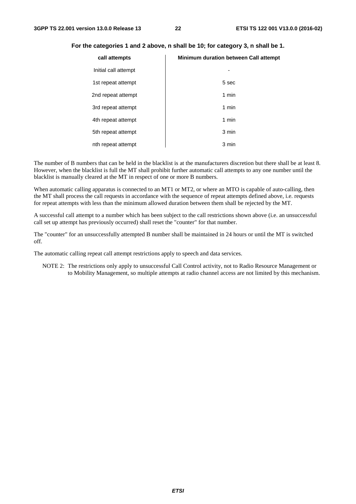| call attempts        | <b>Minimum duration between Call attempt</b> |
|----------------------|----------------------------------------------|
| Initial call attempt | ٠                                            |
| 1st repeat attempt   | 5 sec                                        |
| 2nd repeat attempt   | 1 min                                        |
| 3rd repeat attempt   | 1 min                                        |
| 4th repeat attempt   | 1 min                                        |
| 5th repeat attempt   | 3 min                                        |
| nth repeat attempt   | 3 min                                        |

#### **For the categories 1 and 2 above, n shall be 10; for category 3, n shall be 1.**

The number of B numbers that can be held in the blacklist is at the manufacturers discretion but there shall be at least 8. However, when the blacklist is full the MT shall prohibit further automatic call attempts to any one number until the blacklist is manually cleared at the MT in respect of one or more B numbers.

When automatic calling apparatus is connected to an MT1 or MT2, or where an MTO is capable of auto-calling, then the MT shall process the call requests in accordance with the sequence of repeat attempts defined above, i.e. requests for repeat attempts with less than the minimum allowed duration between them shall be rejected by the MT.

A successful call attempt to a number which has been subject to the call restrictions shown above (i.e. an unsuccessful call set up attempt has previously occurred) shall reset the "counter" for that number.

The "counter" for an unsuccessfully attempted B number shall be maintained in 24 hours or until the MT is switched off.

The automatic calling repeat call attempt restrictions apply to speech and data services.

NOTE 2: The restrictions only apply to unsuccessful Call Control activity, not to Radio Resource Management or to Mobility Management, so multiple attempts at radio channel access are not limited by this mechanism.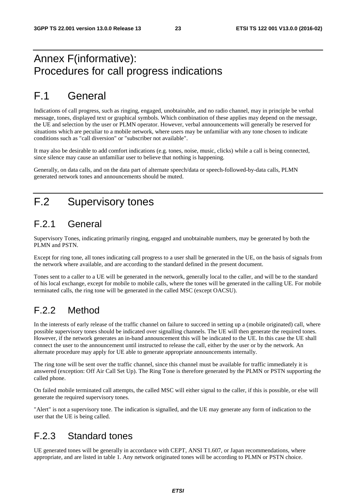### Annex F(informative): Procedures for call progress indications

## F.1 General

Indications of call progress, such as ringing, engaged, unobtainable, and no radio channel, may in principle be verbal message, tones, displayed text or graphical symbols. Which combination of these applies may depend on the message, the UE and selection by the user or PLMN operator. However, verbal announcements will generally be reserved for situations which are peculiar to a mobile network, where users may be unfamiliar with any tone chosen to indicate conditions such as "call diversion" or "subscriber not available".

It may also be desirable to add comfort indications (e.g. tones, noise, music, clicks) while a call is being connected, since silence may cause an unfamiliar user to believe that nothing is happening.

Generally, on data calls, and on the data part of alternate speech/data or speech-followed-by-data calls, PLMN generated network tones and announcements should be muted.

## F.2 Supervisory tones

### F.2.1 General

Supervisory Tones, indicating primarily ringing, engaged and unobtainable numbers, may be generated by both the PLMN and PSTN.

Except for ring tone, all tones indicating call progress to a user shall be generated in the UE, on the basis of signals from the network where available, and are according to the standard defined in the present document.

Tones sent to a caller to a UE will be generated in the network, generally local to the caller, and will be to the standard of his local exchange, except for mobile to mobile calls, where the tones will be generated in the calling UE. For mobile terminated calls, the ring tone will be generated in the called MSC (except OACSU).

### F.2.2 Method

In the interests of early release of the traffic channel on failure to succeed in setting up a (mobile originated) call, where possible supervisory tones should be indicated over signalling channels. The UE will then generate the required tones. However, if the network generates an in-band announcement this will be indicated to the UE. In this case the UE shall connect the user to the announcement until instructed to release the call, either by the user or by the network. An alternate procedure may apply for UE able to generate appropriate announcements internally.

The ring tone will be sent over the traffic channel, since this channel must be available for traffic immediately it is answered (exception: Off Air Call Set Up). The Ring Tone is therefore generated by the PLMN or PSTN supporting the called phone.

On failed mobile terminated call attempts, the called MSC will either signal to the caller, if this is possible, or else will generate the required supervisory tones.

"Alert" is not a supervisory tone. The indication is signalled, and the UE may generate any form of indication to the user that the UE is being called.

#### F.2.3 Standard tones

UE generated tones will be generally in accordance with CEPT, ANSI T1.607, or Japan recommendations, where appropriate, and are listed in table 1. Any network originated tones will be according to PLMN or PSTN choice.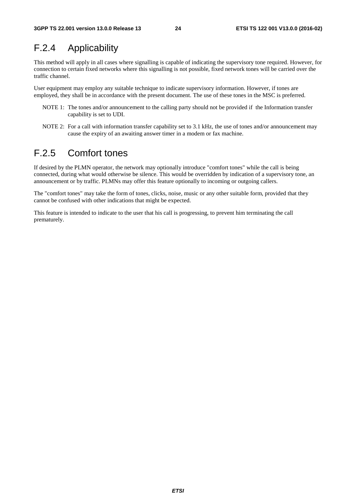### F.2.4 Applicability

This method will apply in all cases where signalling is capable of indicating the supervisory tone required. However, for connection to certain fixed networks where this signalling is not possible, fixed network tones will be carried over the traffic channel.

User equipment may employ any suitable technique to indicate supervisory information. However, if tones are employed, they shall be in accordance with the present document. The use of these tones in the MSC is preferred.

- NOTE 1: The tones and/or announcement to the calling party should not be provided if the Information transfer capability is set to UDI.
- NOTE 2: For a call with information transfer capability set to 3.1 kHz, the use of tones and/or announcement may cause the expiry of an awaiting answer timer in a modem or fax machine.

#### F.2.5 Comfort tones

If desired by the PLMN operator, the network may optionally introduce "comfort tones" while the call is being connected, during what would otherwise be silence. This would be overridden by indication of a supervisory tone, an announcement or by traffic. PLMNs may offer this feature optionally to incoming or outgoing callers.

The "comfort tones" may take the form of tones, clicks, noise, music or any other suitable form, provided that they cannot be confused with other indications that might be expected.

This feature is intended to indicate to the user that his call is progressing, to prevent him terminating the call prematurely.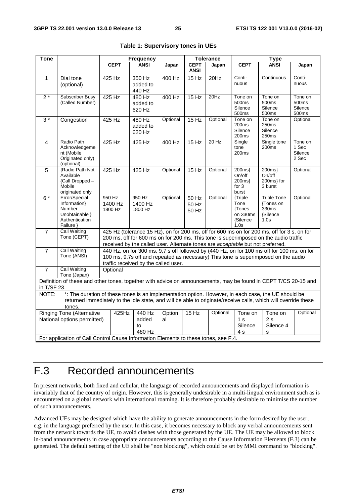| <b>Tone</b>                                                                                                                    |                                                                                                                | <b>Frequency</b> |                                      |              |                                                                                                                                                                        | <b>Tolerance</b> | <b>Type</b>                  |                                                                                            |                              |
|--------------------------------------------------------------------------------------------------------------------------------|----------------------------------------------------------------------------------------------------------------|------------------|--------------------------------------|--------------|------------------------------------------------------------------------------------------------------------------------------------------------------------------------|------------------|------------------------------|--------------------------------------------------------------------------------------------|------------------------------|
|                                                                                                                                |                                                                                                                | <b>CEPT</b>      | <b>ANSI</b>                          | Japan        | <b>CEPT</b>                                                                                                                                                            | Japan            | <b>CEPT</b>                  | <b>ANSI</b>                                                                                | Japan                        |
|                                                                                                                                |                                                                                                                |                  |                                      |              | <b>ANSI</b>                                                                                                                                                            |                  |                              |                                                                                            |                              |
| $\mathbf{1}$                                                                                                                   | Dial tone                                                                                                      | 425 Hz           | 350 Hz<br>added to                   | 400 Hz       | 15 Hz                                                                                                                                                                  | 20Hz             | Conti-<br>nuous              | Continuous                                                                                 | Conti-<br>nuous              |
|                                                                                                                                | (optional)                                                                                                     |                  | 440 Hz                               |              |                                                                                                                                                                        |                  |                              |                                                                                            |                              |
| $2*$                                                                                                                           | <b>Subscriber Busy</b>                                                                                         | 425 Hz           | 480 Hz                               | 400 Hz       | 15 Hz                                                                                                                                                                  | 20Hz             | Tone on                      | Tone on                                                                                    | Tone on                      |
|                                                                                                                                | (Called Number)                                                                                                |                  | added to                             |              |                                                                                                                                                                        |                  | 500 <sub>ms</sub><br>Silence | 500ms<br>Silence                                                                           | 500 <sub>ms</sub><br>Silence |
|                                                                                                                                |                                                                                                                |                  | 620 Hz                               |              |                                                                                                                                                                        |                  | 500ms                        | 500ms                                                                                      | 500ms                        |
| $3*$                                                                                                                           | Congestion                                                                                                     | 425 Hz           | 480 Hz                               | Optional     | 15 Hz                                                                                                                                                                  | Optional         | Tone on<br>200 <sub>ms</sub> | Tone on<br>250ms                                                                           | Optional                     |
|                                                                                                                                |                                                                                                                |                  | added to<br>620 Hz                   |              |                                                                                                                                                                        |                  | Silence                      | Silence                                                                                    |                              |
|                                                                                                                                | Radio Path                                                                                                     |                  |                                      |              |                                                                                                                                                                        |                  | 200ms<br>Single              | 250ms                                                                                      |                              |
| $\overline{4}$                                                                                                                 | Acknowledgeme                                                                                                  | 425 Hz           | 425 Hz                               | 400 Hz       | 15 Hz                                                                                                                                                                  | 20 Hz            | tone                         | Single tone<br>200 <sub>ms</sub>                                                           | Tone on<br>1 Sec             |
|                                                                                                                                | nt (Mobile                                                                                                     |                  |                                      |              |                                                                                                                                                                        |                  | 200 <sub>ms</sub>            |                                                                                            | Silence                      |
|                                                                                                                                | Originated only)<br>(optional)                                                                                 |                  |                                      |              |                                                                                                                                                                        |                  |                              |                                                                                            | 2 Sec                        |
| 5                                                                                                                              | <b>Radio Path Not</b>                                                                                          | 425 Hz           | 425 Hz                               | Optional     | 15 Hz                                                                                                                                                                  | Optional         | 200ms                        | 200ms                                                                                      | Optional                     |
|                                                                                                                                | Available<br>{Call Dropped -                                                                                   |                  |                                      |              |                                                                                                                                                                        |                  | On/off<br>200ms}             | On/off<br>200ms} for                                                                       |                              |
|                                                                                                                                | Mobile                                                                                                         |                  |                                      |              |                                                                                                                                                                        |                  | for $3$                      | 3 burst                                                                                    |                              |
| $6*$                                                                                                                           | originated only<br>Error/Special                                                                               | 950 Hz           | 950 Hz                               | Optional     | $50$ Hz                                                                                                                                                                | Optional         | burst<br>{Triple             | <b>Triple Tone</b>                                                                         | Optional                     |
|                                                                                                                                | Information}                                                                                                   | 1400 Hz          | 1400 Hz                              |              | 50 Hz                                                                                                                                                                  |                  | Tone                         | {Tones on                                                                                  |                              |
|                                                                                                                                | Number<br>Unobtainable }                                                                                       | 1800 Hz          | 1800 Hz                              |              | 50 Hz                                                                                                                                                                  |                  | {Tones<br>on 330ms           | 330ms                                                                                      |                              |
|                                                                                                                                | Authentication                                                                                                 |                  |                                      |              |                                                                                                                                                                        |                  | {Silence                     | {Silence<br>1.0s                                                                           |                              |
|                                                                                                                                | Failure }                                                                                                      |                  |                                      |              |                                                                                                                                                                        |                  | 1.0s                         |                                                                                            |                              |
| $\overline{7}$                                                                                                                 | <b>Call Waiting</b><br>Tone (CEPT)                                                                             |                  |                                      |              |                                                                                                                                                                        |                  |                              | 425 Hz (tolerance 15 Hz), on for 200 ms, off for 600 ms on for 200 ms, off for 3 s, on for |                              |
|                                                                                                                                |                                                                                                                |                  |                                      |              | 200 ms, off for 600 ms on for 200 ms. This tone is superimposed on the audio traffic<br>received by the called user. Alternate tones are acceptable but not preferred. |                  |                              |                                                                                            |                              |
| $\overline{7}$                                                                                                                 | <b>Call Waiting</b>                                                                                            |                  |                                      |              |                                                                                                                                                                        |                  |                              | 440 Hz, on for 300 ms, 9,7 s off followed by (440 Hz, on for 100 ms off for 100 ms, on for |                              |
|                                                                                                                                | Tone (ANSI)                                                                                                    |                  |                                      |              |                                                                                                                                                                        |                  |                              | 100 ms, 9,7s off and repeated as necessary) This tone is superimposed on the audio         |                              |
| $\overline{7}$                                                                                                                 | <b>Call Waiting</b>                                                                                            | Optional         | traffic received by the called user. |              |                                                                                                                                                                        |                  |                              |                                                                                            |                              |
|                                                                                                                                | Tone (Japan)                                                                                                   |                  |                                      |              |                                                                                                                                                                        |                  |                              |                                                                                            |                              |
| Definition of these and other tones, together with advice on announcements, may be found in CEPT T/CS 20-15 and<br>in T/SF 23. |                                                                                                                |                  |                                      |              |                                                                                                                                                                        |                  |                              |                                                                                            |                              |
| NOTE:                                                                                                                          | *: The duration of these tones is an implementation option. However, in each case, the UE should be            |                  |                                      |              |                                                                                                                                                                        |                  |                              |                                                                                            |                              |
|                                                                                                                                | returned immediately to the idle state, and will be able to originate/receive calls, which will override these |                  |                                      |              |                                                                                                                                                                        |                  |                              |                                                                                            |                              |
|                                                                                                                                | tones.                                                                                                         |                  |                                      |              |                                                                                                                                                                        |                  |                              |                                                                                            |                              |
| <b>Ringing Tone (Alternative</b><br>425Hz<br>National options permitted)                                                       |                                                                                                                |                  | 440 Hz<br>added                      | Option<br>al | 15 Hz                                                                                                                                                                  | Optional         | Tone on<br>1 <sub>s</sub>    | Tone on<br>2s                                                                              | Optional                     |
|                                                                                                                                |                                                                                                                |                  | to                                   |              |                                                                                                                                                                        |                  | Silence                      | Silence 4                                                                                  |                              |
|                                                                                                                                |                                                                                                                |                  | 480 Hz                               |              |                                                                                                                                                                        |                  | 4 s                          | s                                                                                          |                              |
|                                                                                                                                | For application of Call Control Cause Information Elements to these tones, see F.4.                            |                  |                                      |              |                                                                                                                                                                        |                  |                              |                                                                                            |                              |

|  |  | Table 1: Supervisory tones in UEs |  |
|--|--|-----------------------------------|--|
|--|--|-----------------------------------|--|

## F.3 Recorded announcements

In present networks, both fixed and cellular, the language of recorded announcements and displayed information is invariably that of the country of origin. However, this is generally undesirable in a multi-lingual environment such as is encountered on a global network with international roaming. It is therefore probably desirable to minimise the number of such announcements.

Advanced UEs may be designed which have the ability to generate announcements in the form desired by the user, e.g. in the language preferred by the user. In this case, it becomes necessary to block any verbal announcements sent from the network towards the UE, to avoid clashes with those generated by the UE. The UE may be allowed to block in-band announcements in case appropriate announcements according to the Cause Information Elements (F.3) can be generated. The default setting of the UE shall be "non blocking", which could be set by MMI command to "blocking".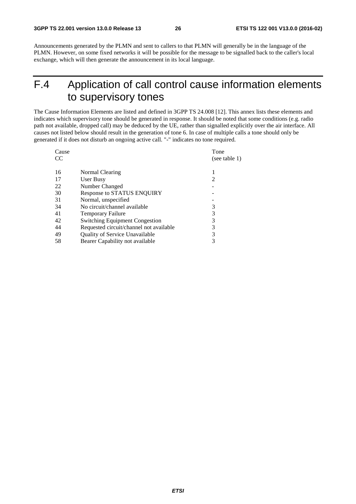Announcements generated by the PLMN and sent to callers to that PLMN will generally be in the language of the PLMN. However, on some fixed networks it will be possible for the message to be signalled back to the caller's local exchange, which will then generate the announcement in its local language.

## F.4 Application of call control cause information elements to supervisory tones

The Cause Information Elements are listed and defined in 3GPP TS 24.008 [12]. This annex lists these elements and indicates which supervisory tone should be generated in response. It should be noted that some conditions (e.g. radio path not available, dropped call) may be deduced by the UE, rather than signalled explicitly over the air interface. All causes not listed below should result in the generation of tone 6. In case of multiple calls a tone should only be generated if it does not disturb an ongoing active call. "-" indicates no tone required.

| Cause |                                         | Tone           |
|-------|-----------------------------------------|----------------|
| CC.   |                                         | (see table 1)  |
| 16    | Normal Clearing                         |                |
| 17    | User Busy                               | $\overline{c}$ |
| 22    | Number Changed                          |                |
| 30    | <b>Response to STATUS ENQUIRY</b>       |                |
| 31    | Normal, unspecified                     |                |
| 34    | No circuit/channel available            | 3              |
| 41    | <b>Temporary Failure</b>                | 3              |
| 42    | <b>Switching Equipment Congestion</b>   | 3              |
| 44    | Requested circuit/channel not available | 3              |
| 49    | Quality of Service Unavailable          | 3              |
| 58    | Bearer Capability not available         | 3              |
|       |                                         |                |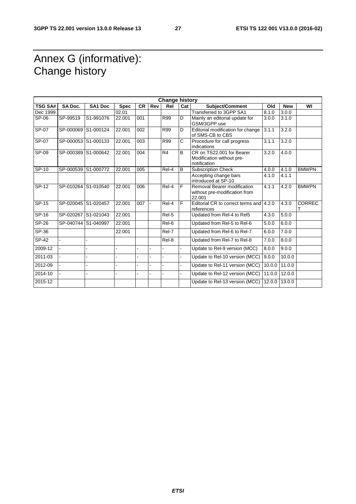### Annex G (informative): Change history

|                | <b>Change history</b> |                |             |           |                |                    |                |                                                                        |        |            |               |
|----------------|-----------------------|----------------|-------------|-----------|----------------|--------------------|----------------|------------------------------------------------------------------------|--------|------------|---------------|
| <b>TSG SA#</b> | SA Doc.               | SA1 Doc        | <b>Spec</b> | <b>CR</b> | Rev            | Rel                | Cat            | Subject/Comment                                                        | Old    | <b>New</b> | WI            |
| Dec 1999       |                       |                | 02.01       |           |                |                    |                | Transferred to 3GPP SA1                                                | 8.1.0  | 3.0.0      |               |
| SP-06          | SP-99519              | S1-991076      | 22.001      | 001       |                | <b>R99</b>         | D              | Mainly an editorial update for<br>GSM/3GPP use                         | 3.0.0  | 3.1.0      |               |
| SP-07          | SP-000069             | S1-000124      | 22.001      | 002       |                | <b>R99</b>         | D              | Editorial modification for change<br>of SMS-CB to CBS                  | 3.1.1  | 3.2.0      |               |
| SP-07          | SP-000053 S1-000133   |                | 22.001      | 003       |                | R99                | C              | Procedure for call progress<br>indications                             | 3.1.1  | 3.2.0      |               |
| SP-09          | SP-000389 S1-000642   |                | 22.001      | 004       |                | R <sub>4</sub>     | B              | CR on TS22.001 for Bearer<br>Modification without pre-<br>notification | 3.2.0  | 4.0.0      |               |
| <b>SP-10</b>   | SP-000539 S1-000772   |                | 22.001      | 005       |                | $\overline{Rel-4}$ | $\overline{B}$ | <b>Subscription Check</b>                                              | 4.0.0  | 4.1.0      | <b>BMWPN</b>  |
|                |                       |                |             |           |                |                    |                | Accepting change bars<br>introduced at SP-10                           | 4.1.0  | 4.1.1      |               |
| SP-12          | SP-010264 S1-010540   |                | 22.001      | 006       |                | Rel-4              | F              | Removal Bearer modification<br>without pre-modification from<br>22.001 | 4.1.1  | 4.2.0      | <b>BMWPN</b>  |
| SP-15          | SP-020045 S1-020457   |                | 22.001      | 007       | $\blacksquare$ | Rel-4              | F              | Editorial CR to correct terms and 4.2.0<br>references                  |        | 4.3.0      | <b>CORREC</b> |
| $SP-16$        | SP-020267 S1-021043   |                | 22.001      |           |                | Rel-5              |                | Updated from Rel-4 to Rel5                                             | 4.3.0  | 5.0.0      |               |
| $SP-26$        | SP-040744 S1-040997   |                | 22.001      |           |                | Rel-6              |                | Updated from Rel-5 to Rel-6                                            | 5.0.0  | 6.0.0      |               |
| $SP-36$        |                       |                | 22.001      |           |                | Rel-7              |                | Updated from Rel-6 to Rel-7                                            | 6.0.0  | 7.0.0      |               |
| $SP-42$        |                       | $\overline{a}$ |             |           |                | Rel-8              |                | Updated from Rel-7 to Rel-8                                            | 7.0.0  | 8.0.0      |               |
| 2009-12        |                       |                |             |           |                |                    |                | Update to Rel-9 version (MCC)                                          | 8.0.0  | 9.0.0      |               |
| 2011-03        |                       | L.             |             |           |                | L.                 |                | Update to Rel-10 version (MCC)                                         | 9.0.0  | 10.0.0     |               |
| 2012-09        |                       |                |             |           |                |                    |                | Update to Rel-11 version (MCC)                                         | 10.0.0 | 11.0.0     |               |
| 2014-10        |                       |                |             |           |                |                    |                | Update to Rel-12 version (MCC)                                         | 11.0.0 | 12.0.0     |               |
| 2015-12        |                       |                |             |           |                |                    |                | Update to Rel-13 version (MCC)                                         | 12.0.0 | 13.0.0     |               |